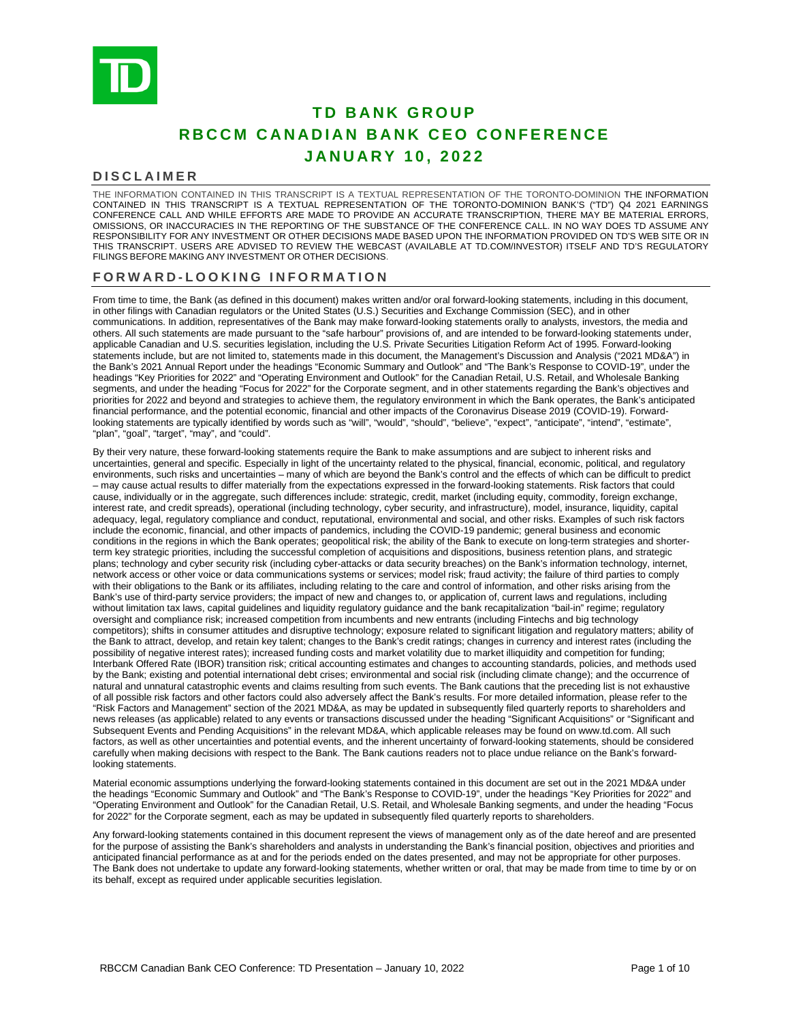

# **TD BANK GROUP RBCCM CANADIAN BANK CEO CONFERENCE JANUARY 1 0 , 202 2**

#### **DISCLAIMER**

THE INFORMATION CONTAINED IN THIS TRANSCRIPT IS A TEXTUAL REPRESENTATION OF THE TORONTO-DOMINION THE INFORMATION CONTAINED IN THIS TRANSCRIPT IS A TEXTUAL REPRESENTATION OF THE TORONTO-DOMINION BANK'S ("TD") Q4 2021 EARNINGS CONFERENCE CALL AND WHILE EFFORTS ARE MADE TO PROVIDE AN ACCURATE TRANSCRIPTION, THERE MAY BE MATERIAL ERRORS, OMISSIONS, OR INACCURACIES IN THE REPORTING OF THE SUBSTANCE OF THE CONFERENCE CALL. IN NO WAY DOES TD ASSUME ANY RESPONSIBILITY FOR ANY INVESTMENT OR OTHER DECISIONS MADE BASED UPON THE INFORMATION PROVIDED ON TD'S WEB SITE OR IN THIS TRANSCRIPT. USERS ARE ADVISED TO REVIEW THE WEBCAST (AVAILABLE AT TD.COM/INVESTOR) ITSELF AND TD'S REGULATORY FILINGS BEFORE MAKING ANY INVESTMENT OR OTHER DECISIONS.

# **FORWARD - LOOKING INFORMATION**

From time to time, the Bank (as defined in this document) makes written and/or oral forward-looking statements, including in this document, in other filings with Canadian regulators or the United States (U.S.) Securities and Exchange Commission (SEC), and in other communications. In addition, representatives of the Bank may make forward-looking statements orally to analysts, investors, the media and others. All such statements are made pursuant to the "safe harbour" provisions of, and are intended to be forward-looking statements under, applicable Canadian and U.S. securities legislation, including the U.S. Private Securities Litigation Reform Act of 1995. Forward-looking statements include, but are not limited to, statements made in this document, the Management's Discussion and Analysis ("2021 MD&A") in the Bank's 2021 Annual Report under the headings "Economic Summary and Outlook" and "The Bank's Response to COVID-19", under the headings "Key Priorities for 2022" and "Operating Environment and Outlook" for the Canadian Retail, U.S. Retail, and Wholesale Banking segments, and under the heading "Focus for 2022" for the Corporate segment, and in other statements regarding the Bank's objectives and priorities for 2022 and beyond and strategies to achieve them, the regulatory environment in which the Bank operates, the Bank's anticipated financial performance, and the potential economic, financial and other impacts of the Coronavirus Disease 2019 (COVID-19). Forwardlooking statements are typically identified by words such as "will", "would", "should", "believe", "expect", "anticipate", "intend", "estimate", "plan", "goal", "target", "may", and "could".

By their very nature, these forward-looking statements require the Bank to make assumptions and are subject to inherent risks and uncertainties, general and specific. Especially in light of the uncertainty related to the physical, financial, economic, political, and regulatory environments, such risks and uncertainties – many of which are beyond the Bank's control and the effects of which can be difficult to predict – may cause actual results to differ materially from the expectations expressed in the forward-looking statements. Risk factors that could cause, individually or in the aggregate, such differences include: strategic, credit, market (including equity, commodity, foreign exchange, interest rate, and credit spreads), operational (including technology, cyber security, and infrastructure), model, insurance, liquidity, capital adequacy, legal, regulatory compliance and conduct, reputational, environmental and social, and other risks. Examples of such risk factors include the economic, financial, and other impacts of pandemics, including the COVID-19 pandemic; general business and economic conditions in the regions in which the Bank operates; geopolitical risk; the ability of the Bank to execute on long-term strategies and shorterterm key strategic priorities, including the successful completion of acquisitions and dispositions, business retention plans, and strategic plans; technology and cyber security risk (including cyber-attacks or data security breaches) on the Bank's information technology, internet, network access or other voice or data communications systems or services; model risk; fraud activity; the failure of third parties to comply with their obligations to the Bank or its affiliates, including relating to the care and control of information, and other risks arising from the Bank's use of third-party service providers; the impact of new and changes to, or application of, current laws and regulations, including without limitation tax laws, capital guidelines and liquidity regulatory guidance and the bank recapitalization "bail-in" regime; regulatory oversight and compliance risk; increased competition from incumbents and new entrants (including Fintechs and big technology competitors); shifts in consumer attitudes and disruptive technology; exposure related to significant litigation and regulatory matters; ability of the Bank to attract, develop, and retain key talent; changes to the Bank's credit ratings; changes in currency and interest rates (including the possibility of negative interest rates); increased funding costs and market volatility due to market illiquidity and competition for funding; Interbank Offered Rate (IBOR) transition risk; critical accounting estimates and changes to accounting standards, policies, and methods used by the Bank; existing and potential international debt crises; environmental and social risk (including climate change); and the occurrence of natural and unnatural catastrophic events and claims resulting from such events. The Bank cautions that the preceding list is not exhaustive of all possible risk factors and other factors could also adversely affect the Bank's results. For more detailed information, please refer to the "Risk Factors and Management" section of the 2021 MD&A, as may be updated in subsequently filed quarterly reports to shareholders and news releases (as applicable) related to any events or transactions discussed under the heading "Significant Acquisitions" or "Significant and Subsequent Events and Pending Acquisitions" in the relevant MD&A, which applicable releases may be found on www.td.com. All such factors, as well as other uncertainties and potential events, and the inherent uncertainty of forward-looking statements, should be considered carefully when making decisions with respect to the Bank. The Bank cautions readers not to place undue reliance on the Bank's forwardlooking statements.

Material economic assumptions underlying the forward-looking statements contained in this document are set out in the 2021 MD&A under the headings "Economic Summary and Outlook" and "The Bank's Response to COVID-19", under the headings "Key Priorities for 2022" and "Operating Environment and Outlook" for the Canadian Retail, U.S. Retail, and Wholesale Banking segments, and under the heading "Focus for 2022" for the Corporate segment, each as may be updated in subsequently filed quarterly reports to shareholders.

Any forward-looking statements contained in this document represent the views of management only as of the date hereof and are presented for the purpose of assisting the Bank's shareholders and analysts in understanding the Bank's financial position, objectives and priorities and anticipated financial performance as at and for the periods ended on the dates presented, and may not be appropriate for other purposes. The Bank does not undertake to update any forward-looking statements, whether written or oral, that may be made from time to time by or on its behalf, except as required under applicable securities legislation.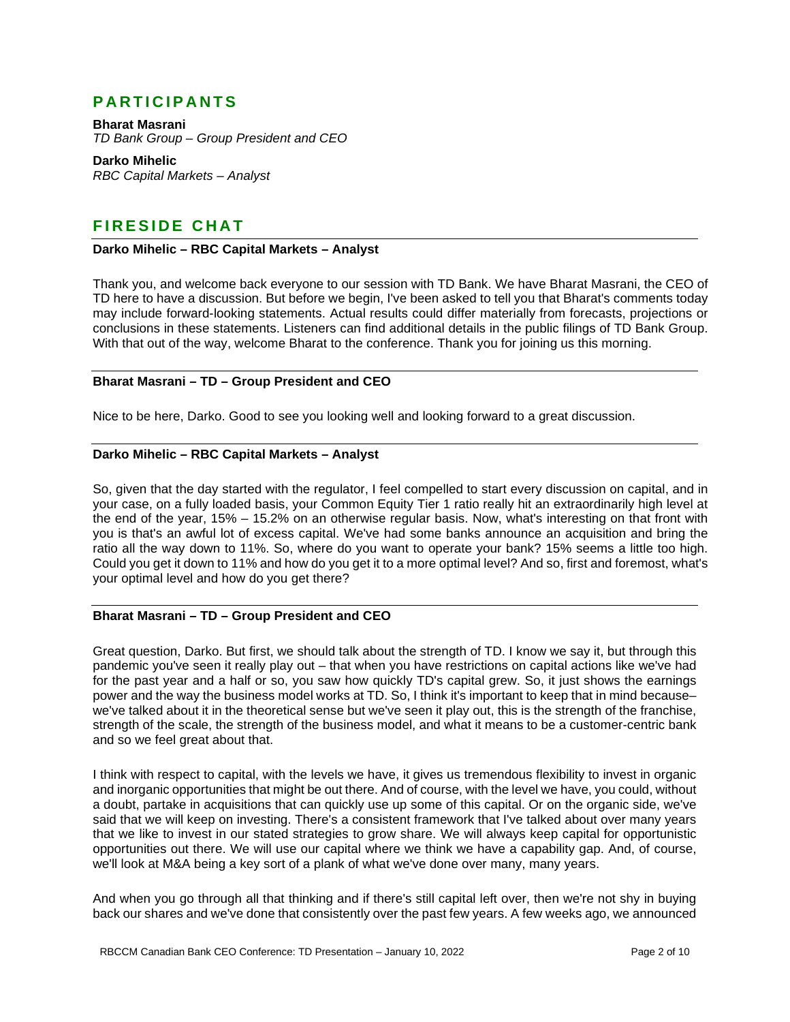# **PARTICIPANTS**

**Bharat Masrani** *TD Bank Group – Group President and CEO*

**Darko Mihelic** *RBC Capital Markets – Analyst*

# **FIRESIDE CHAT**

#### **Darko Mihelic – RBC Capital Markets – Analyst**

Thank you, and welcome back everyone to our session with TD Bank. We have Bharat Masrani, the CEO of TD here to have a discussion. But before we begin, I've been asked to tell you that Bharat's comments today may include forward-looking statements. Actual results could differ materially from forecasts, projections or conclusions in these statements. Listeners can find additional details in the public filings of TD Bank Group. With that out of the way, welcome Bharat to the conference. Thank you for joining us this morning.

#### **Bharat Masrani – TD – Group President and CEO**

Nice to be here, Darko. Good to see you looking well and looking forward to a great discussion.

# **Darko Mihelic – RBC Capital Markets – Analyst**

So, given that the day started with the regulator, I feel compelled to start every discussion on capital, and in your case, on a fully loaded basis, your Common Equity Tier 1 ratio really hit an extraordinarily high level at the end of the year, 15% – 15.2% on an otherwise regular basis. Now, what's interesting on that front with you is that's an awful lot of excess capital. We've had some banks announce an acquisition and bring the ratio all the way down to 11%. So, where do you want to operate your bank? 15% seems a little too high. Could you get it down to 11% and how do you get it to a more optimal level? And so, first and foremost, what's your optimal level and how do you get there?

# **Bharat Masrani – TD – Group President and CEO**

Great question, Darko. But first, we should talk about the strength of TD. I know we say it, but through this pandemic you've seen it really play out – that when you have restrictions on capital actions like we've had for the past year and a half or so, you saw how quickly TD's capital grew. So, it just shows the earnings power and the way the business model works at TD. So, I think it's important to keep that in mind because– we've talked about it in the theoretical sense but we've seen it play out, this is the strength of the franchise, strength of the scale, the strength of the business model, and what it means to be a customer-centric bank and so we feel great about that.

I think with respect to capital, with the levels we have, it gives us tremendous flexibility to invest in organic and inorganic opportunities that might be out there. And of course, with the level we have, you could, without a doubt, partake in acquisitions that can quickly use up some of this capital. Or on the organic side, we've said that we will keep on investing. There's a consistent framework that I've talked about over many years that we like to invest in our stated strategies to grow share. We will always keep capital for opportunistic opportunities out there. We will use our capital where we think we have a capability gap. And, of course, we'll look at M&A being a key sort of a plank of what we've done over many, many years.

And when you go through all that thinking and if there's still capital left over, then we're not shy in buying back our shares and we've done that consistently over the past few years. A few weeks ago, we announced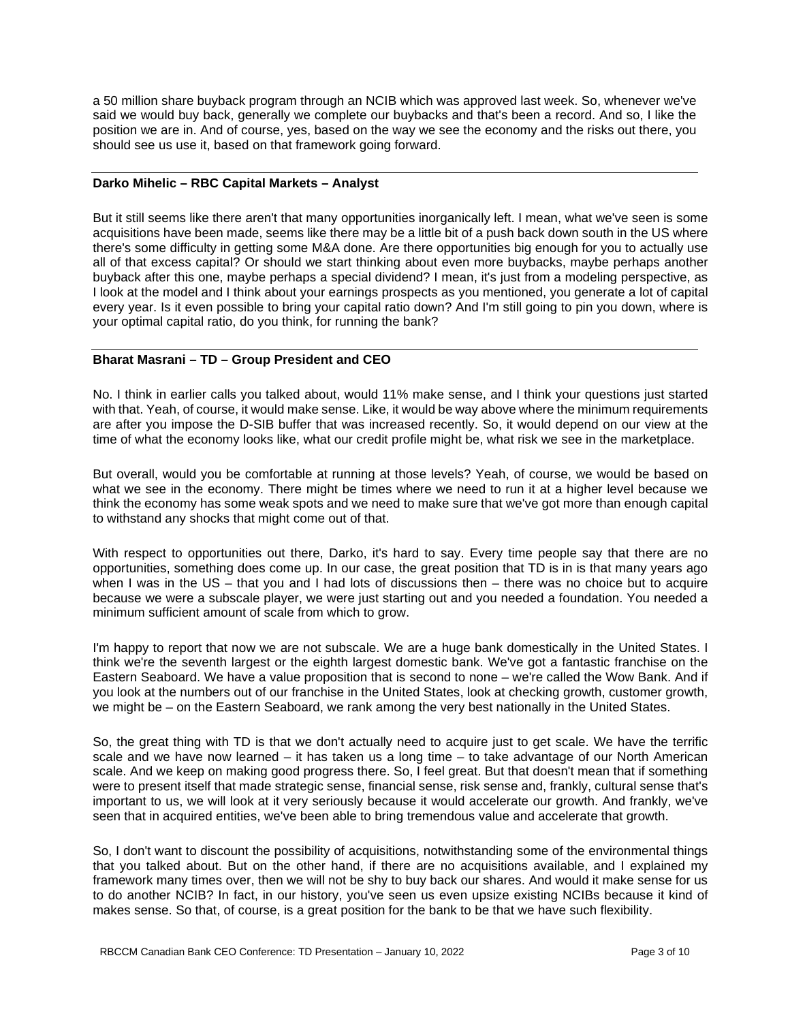a 50 million share buyback program through an NCIB which was approved last week. So, whenever we've said we would buy back, generally we complete our buybacks and that's been a record. And so, I like the position we are in. And of course, yes, based on the way we see the economy and the risks out there, you should see us use it, based on that framework going forward.

#### **Darko Mihelic – RBC Capital Markets – Analyst**

But it still seems like there aren't that many opportunities inorganically left. I mean, what we've seen is some acquisitions have been made, seems like there may be a little bit of a push back down south in the US where there's some difficulty in getting some M&A done. Are there opportunities big enough for you to actually use all of that excess capital? Or should we start thinking about even more buybacks, maybe perhaps another buyback after this one, maybe perhaps a special dividend? I mean, it's just from a modeling perspective, as I look at the model and I think about your earnings prospects as you mentioned, you generate a lot of capital every year. Is it even possible to bring your capital ratio down? And I'm still going to pin you down, where is your optimal capital ratio, do you think, for running the bank?

# **Bharat Masrani – TD – Group President and CEO**

No. I think in earlier calls you talked about, would 11% make sense, and I think your questions just started with that. Yeah, of course, it would make sense. Like, it would be way above where the minimum requirements are after you impose the D-SIB buffer that was increased recently. So, it would depend on our view at the time of what the economy looks like, what our credit profile might be, what risk we see in the marketplace.

But overall, would you be comfortable at running at those levels? Yeah, of course, we would be based on what we see in the economy. There might be times where we need to run it at a higher level because we think the economy has some weak spots and we need to make sure that we've got more than enough capital to withstand any shocks that might come out of that.

With respect to opportunities out there, Darko, it's hard to say. Every time people say that there are no opportunities, something does come up. In our case, the great position that TD is in is that many years ago when I was in the US – that you and I had lots of discussions then – there was no choice but to acquire because we were a subscale player, we were just starting out and you needed a foundation. You needed a minimum sufficient amount of scale from which to grow.

I'm happy to report that now we are not subscale. We are a huge bank domestically in the United States. I think we're the seventh largest or the eighth largest domestic bank. We've got a fantastic franchise on the Eastern Seaboard. We have a value proposition that is second to none – we're called the Wow Bank. And if you look at the numbers out of our franchise in the United States, look at checking growth, customer growth, we might be – on the Eastern Seaboard, we rank among the very best nationally in the United States.

So, the great thing with TD is that we don't actually need to acquire just to get scale. We have the terrific scale and we have now learned – it has taken us a long time – to take advantage of our North American scale. And we keep on making good progress there. So, I feel great. But that doesn't mean that if something were to present itself that made strategic sense, financial sense, risk sense and, frankly, cultural sense that's important to us, we will look at it very seriously because it would accelerate our growth. And frankly, we've seen that in acquired entities, we've been able to bring tremendous value and accelerate that growth.

So, I don't want to discount the possibility of acquisitions, notwithstanding some of the environmental things that you talked about. But on the other hand, if there are no acquisitions available, and I explained my framework many times over, then we will not be shy to buy back our shares. And would it make sense for us to do another NCIB? In fact, in our history, you've seen us even upsize existing NCIBs because it kind of makes sense. So that, of course, is a great position for the bank to be that we have such flexibility.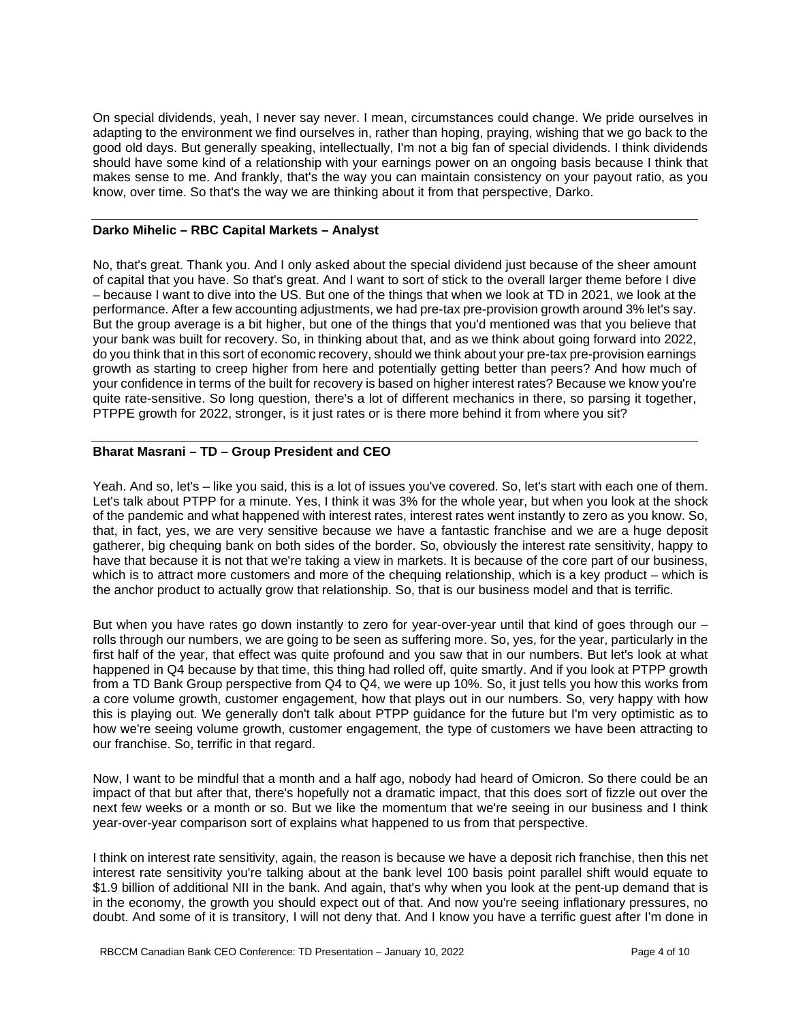On special dividends, yeah, I never say never. I mean, circumstances could change. We pride ourselves in adapting to the environment we find ourselves in, rather than hoping, praying, wishing that we go back to the good old days. But generally speaking, intellectually, I'm not a big fan of special dividends. I think dividends should have some kind of a relationship with your earnings power on an ongoing basis because I think that makes sense to me. And frankly, that's the way you can maintain consistency on your payout ratio, as you know, over time. So that's the way we are thinking about it from that perspective, Darko.

#### **Darko Mihelic – RBC Capital Markets – Analyst**

No, that's great. Thank you. And I only asked about the special dividend just because of the sheer amount of capital that you have. So that's great. And I want to sort of stick to the overall larger theme before I dive – because I want to dive into the US. But one of the things that when we look at TD in 2021, we look at the performance. After a few accounting adjustments, we had pre-tax pre-provision growth around 3% let's say. But the group average is a bit higher, but one of the things that you'd mentioned was that you believe that your bank was built for recovery. So, in thinking about that, and as we think about going forward into 2022, do you think that in this sort of economic recovery, should we think about your pre-tax pre-provision earnings growth as starting to creep higher from here and potentially getting better than peers? And how much of your confidence in terms of the built for recovery is based on higher interest rates? Because we know you're quite rate-sensitive. So long question, there's a lot of different mechanics in there, so parsing it together, PTPPE growth for 2022, stronger, is it just rates or is there more behind it from where you sit?

# **Bharat Masrani – TD – Group President and CEO**

Yeah. And so, let's – like you said, this is a lot of issues you've covered. So, let's start with each one of them. Let's talk about PTPP for a minute. Yes, I think it was 3% for the whole year, but when you look at the shock of the pandemic and what happened with interest rates, interest rates went instantly to zero as you know. So, that, in fact, yes, we are very sensitive because we have a fantastic franchise and we are a huge deposit gatherer, big chequing bank on both sides of the border. So, obviously the interest rate sensitivity, happy to have that because it is not that we're taking a view in markets. It is because of the core part of our business, which is to attract more customers and more of the chequing relationship, which is a key product – which is the anchor product to actually grow that relationship. So, that is our business model and that is terrific.

But when you have rates go down instantly to zero for year-over-year until that kind of goes through our rolls through our numbers, we are going to be seen as suffering more. So, yes, for the year, particularly in the first half of the year, that effect was quite profound and you saw that in our numbers. But let's look at what happened in Q4 because by that time, this thing had rolled off, quite smartly. And if you look at PTPP growth from a TD Bank Group perspective from Q4 to Q4, we were up 10%. So, it just tells you how this works from a core volume growth, customer engagement, how that plays out in our numbers. So, very happy with how this is playing out. We generally don't talk about PTPP guidance for the future but I'm very optimistic as to how we're seeing volume growth, customer engagement, the type of customers we have been attracting to our franchise. So, terrific in that regard.

Now, I want to be mindful that a month and a half ago, nobody had heard of Omicron. So there could be an impact of that but after that, there's hopefully not a dramatic impact, that this does sort of fizzle out over the next few weeks or a month or so. But we like the momentum that we're seeing in our business and I think year-over-year comparison sort of explains what happened to us from that perspective.

I think on interest rate sensitivity, again, the reason is because we have a deposit rich franchise, then this net interest rate sensitivity you're talking about at the bank level 100 basis point parallel shift would equate to \$1.9 billion of additional NII in the bank. And again, that's why when you look at the pent-up demand that is in the economy, the growth you should expect out of that. And now you're seeing inflationary pressures, no doubt. And some of it is transitory, I will not deny that. And I know you have a terrific guest after I'm done in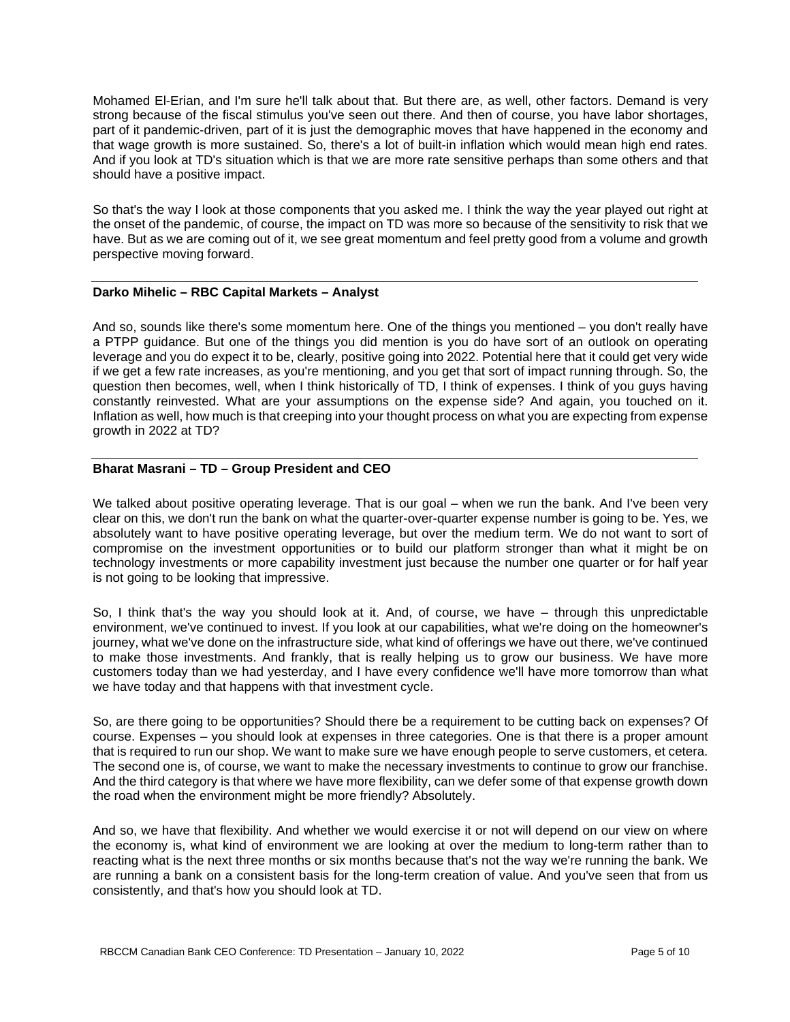Mohamed El-Erian, and I'm sure he'll talk about that. But there are, as well, other factors. Demand is very strong because of the fiscal stimulus you've seen out there. And then of course, you have labor shortages, part of it pandemic-driven, part of it is just the demographic moves that have happened in the economy and that wage growth is more sustained. So, there's a lot of built-in inflation which would mean high end rates. And if you look at TD's situation which is that we are more rate sensitive perhaps than some others and that should have a positive impact.

So that's the way I look at those components that you asked me. I think the way the year played out right at the onset of the pandemic, of course, the impact on TD was more so because of the sensitivity to risk that we have. But as we are coming out of it, we see great momentum and feel pretty good from a volume and growth perspective moving forward.

# **Darko Mihelic – RBC Capital Markets – Analyst**

And so, sounds like there's some momentum here. One of the things you mentioned – you don't really have a PTPP guidance. But one of the things you did mention is you do have sort of an outlook on operating leverage and you do expect it to be, clearly, positive going into 2022. Potential here that it could get very wide if we get a few rate increases, as you're mentioning, and you get that sort of impact running through. So, the question then becomes, well, when I think historically of TD, I think of expenses. I think of you guys having constantly reinvested. What are your assumptions on the expense side? And again, you touched on it. Inflation as well, how much is that creeping into your thought process on what you are expecting from expense growth in 2022 at TD?

# **Bharat Masrani – TD – Group President and CEO**

We talked about positive operating leverage. That is our goal – when we run the bank. And I've been very clear on this, we don't run the bank on what the quarter-over-quarter expense number is going to be. Yes, we absolutely want to have positive operating leverage, but over the medium term. We do not want to sort of compromise on the investment opportunities or to build our platform stronger than what it might be on technology investments or more capability investment just because the number one quarter or for half year is not going to be looking that impressive.

So, I think that's the way you should look at it. And, of course, we have – through this unpredictable environment, we've continued to invest. If you look at our capabilities, what we're doing on the homeowner's journey, what we've done on the infrastructure side, what kind of offerings we have out there, we've continued to make those investments. And frankly, that is really helping us to grow our business. We have more customers today than we had yesterday, and I have every confidence we'll have more tomorrow than what we have today and that happens with that investment cycle.

So, are there going to be opportunities? Should there be a requirement to be cutting back on expenses? Of course. Expenses – you should look at expenses in three categories. One is that there is a proper amount that is required to run our shop. We want to make sure we have enough people to serve customers, et cetera. The second one is, of course, we want to make the necessary investments to continue to grow our franchise. And the third category is that where we have more flexibility, can we defer some of that expense growth down the road when the environment might be more friendly? Absolutely.

And so, we have that flexibility. And whether we would exercise it or not will depend on our view on where the economy is, what kind of environment we are looking at over the medium to long-term rather than to reacting what is the next three months or six months because that's not the way we're running the bank. We are running a bank on a consistent basis for the long-term creation of value. And you've seen that from us consistently, and that's how you should look at TD.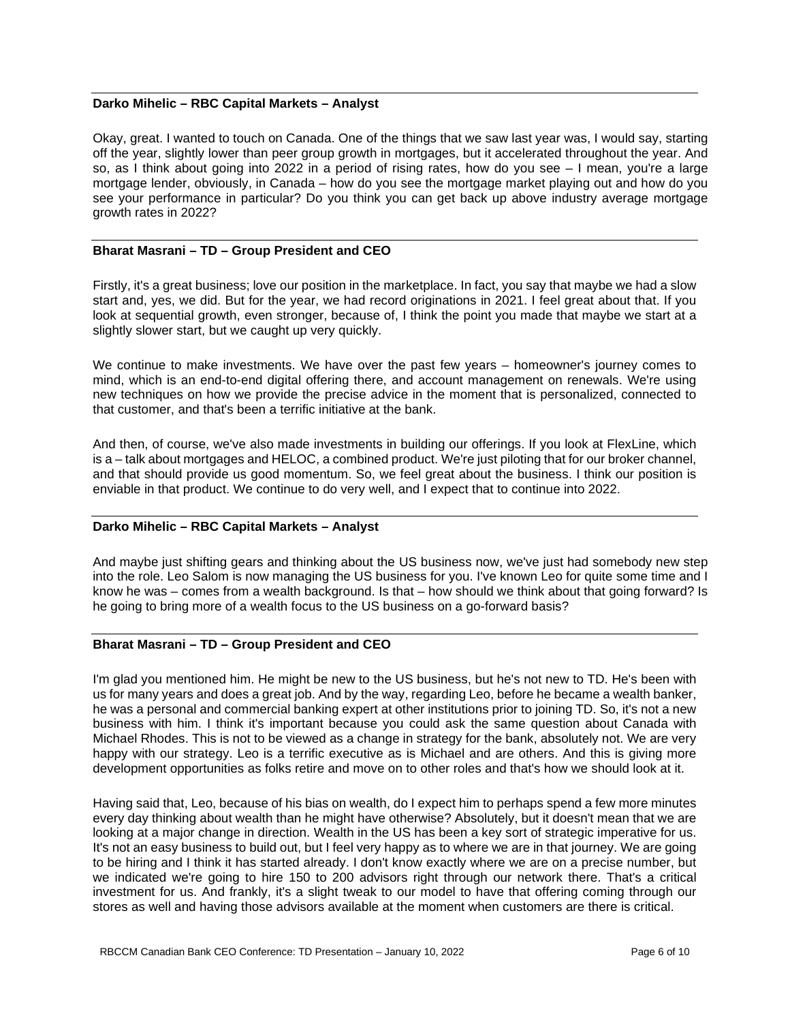#### **Darko Mihelic – RBC Capital Markets – Analyst**

Okay, great. I wanted to touch on Canada. One of the things that we saw last year was, I would say, starting off the year, slightly lower than peer group growth in mortgages, but it accelerated throughout the year. And so, as I think about going into 2022 in a period of rising rates, how do you see – I mean, you're a large mortgage lender, obviously, in Canada – how do you see the mortgage market playing out and how do you see your performance in particular? Do you think you can get back up above industry average mortgage growth rates in 2022?

#### **Bharat Masrani – TD – Group President and CEO**

Firstly, it's a great business; love our position in the marketplace. In fact, you say that maybe we had a slow start and, yes, we did. But for the year, we had record originations in 2021. I feel great about that. If you look at sequential growth, even stronger, because of, I think the point you made that maybe we start at a slightly slower start, but we caught up very quickly.

We continue to make investments. We have over the past few years – homeowner's journey comes to mind, which is an end-to-end digital offering there, and account management on renewals. We're using new techniques on how we provide the precise advice in the moment that is personalized, connected to that customer, and that's been a terrific initiative at the bank.

And then, of course, we've also made investments in building our offerings. If you look at FlexLine, which is a – talk about mortgages and HELOC, a combined product. We're just piloting that for our broker channel, and that should provide us good momentum. So, we feel great about the business. I think our position is enviable in that product. We continue to do very well, and I expect that to continue into 2022.

# **Darko Mihelic – RBC Capital Markets – Analyst**

And maybe just shifting gears and thinking about the US business now, we've just had somebody new step into the role. Leo Salom is now managing the US business for you. I've known Leo for quite some time and I know he was – comes from a wealth background. Is that – how should we think about that going forward? Is he going to bring more of a wealth focus to the US business on a go-forward basis?

# **Bharat Masrani – TD – Group President and CEO**

I'm glad you mentioned him. He might be new to the US business, but he's not new to TD. He's been with us for many years and does a great job. And by the way, regarding Leo, before he became a wealth banker, he was a personal and commercial banking expert at other institutions prior to joining TD. So, it's not a new business with him. I think it's important because you could ask the same question about Canada with Michael Rhodes. This is not to be viewed as a change in strategy for the bank, absolutely not. We are very happy with our strategy. Leo is a terrific executive as is Michael and are others. And this is giving more development opportunities as folks retire and move on to other roles and that's how we should look at it.

Having said that, Leo, because of his bias on wealth, do I expect him to perhaps spend a few more minutes every day thinking about wealth than he might have otherwise? Absolutely, but it doesn't mean that we are looking at a major change in direction. Wealth in the US has been a key sort of strategic imperative for us. It's not an easy business to build out, but I feel very happy as to where we are in that journey. We are going to be hiring and I think it has started already. I don't know exactly where we are on a precise number, but we indicated we're going to hire 150 to 200 advisors right through our network there. That's a critical investment for us. And frankly, it's a slight tweak to our model to have that offering coming through our stores as well and having those advisors available at the moment when customers are there is critical.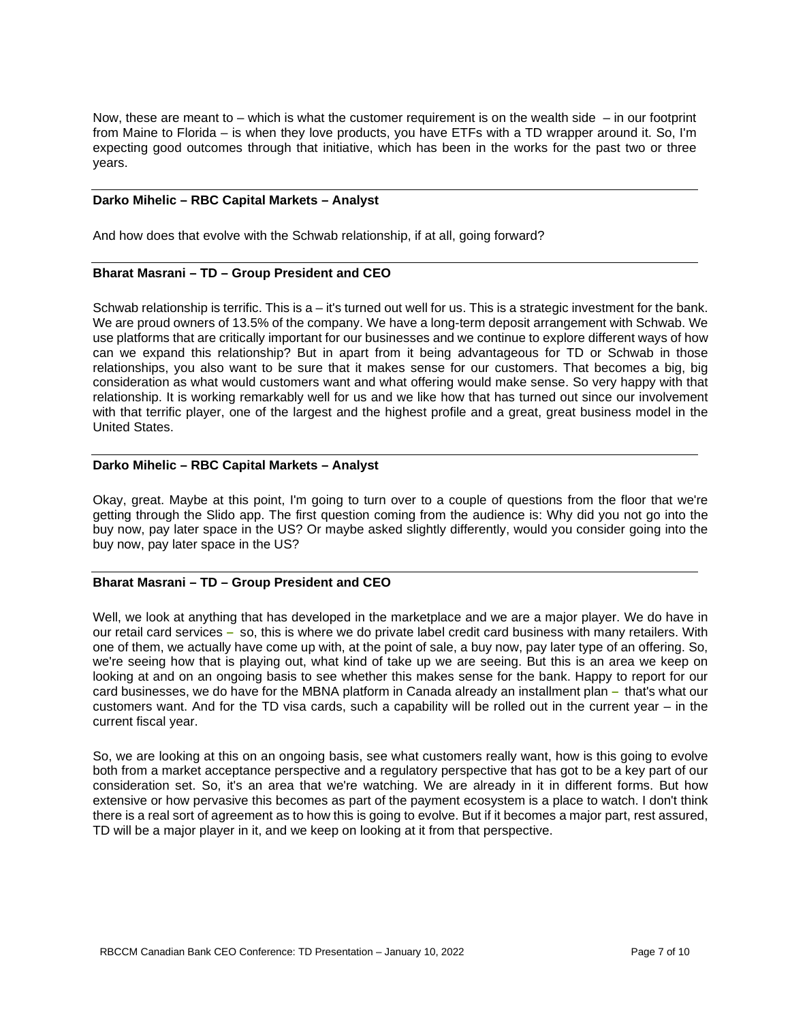Now, these are meant to – which is what the customer requirement is on the wealth side  $-$  in our footprint from Maine to Florida – is when they love products, you have ETFs with a TD wrapper around it. So, I'm expecting good outcomes through that initiative, which has been in the works for the past two or three years.

#### **Darko Mihelic – RBC Capital Markets – Analyst**

And how does that evolve with the Schwab relationship, if at all, going forward?

# **Bharat Masrani – TD – Group President and CEO**

Schwab relationship is terrific. This is a – it's turned out well for us. This is a strategic investment for the bank. We are proud owners of 13.5% of the company. We have a long-term deposit arrangement with Schwab. We use platforms that are critically important for our businesses and we continue to explore different ways of how can we expand this relationship? But in apart from it being advantageous for TD or Schwab in those relationships, you also want to be sure that it makes sense for our customers. That becomes a big, big consideration as what would customers want and what offering would make sense. So very happy with that relationship. It is working remarkably well for us and we like how that has turned out since our involvement with that terrific player, one of the largest and the highest profile and a great, great business model in the United States.

# **Darko Mihelic – RBC Capital Markets – Analyst**

Okay, great. Maybe at this point, I'm going to turn over to a couple of questions from the floor that we're getting through the Slido app. The first question coming from the audience is: Why did you not go into the buy now, pay later space in the US? Or maybe asked slightly differently, would you consider going into the buy now, pay later space in the US?

# **Bharat Masrani – TD – Group President and CEO**

Well, we look at anything that has developed in the marketplace and we are a major player. We do have in our retail card services **–** so, this is where we do private label credit card business with many retailers. With one of them, we actually have come up with, at the point of sale, a buy now, pay later type of an offering. So, we're seeing how that is playing out, what kind of take up we are seeing. But this is an area we keep on looking at and on an ongoing basis to see whether this makes sense for the bank. Happy to report for our card businesses, we do have for the MBNA platform in Canada already an installment plan **–** that's what our customers want. And for the TD visa cards, such a capability will be rolled out in the current year – in the current fiscal year.

So, we are looking at this on an ongoing basis, see what customers really want, how is this going to evolve both from a market acceptance perspective and a regulatory perspective that has got to be a key part of our consideration set. So, it's an area that we're watching. We are already in it in different forms. But how extensive or how pervasive this becomes as part of the payment ecosystem is a place to watch. I don't think there is a real sort of agreement as to how this is going to evolve. But if it becomes a major part, rest assured, TD will be a major player in it, and we keep on looking at it from that perspective.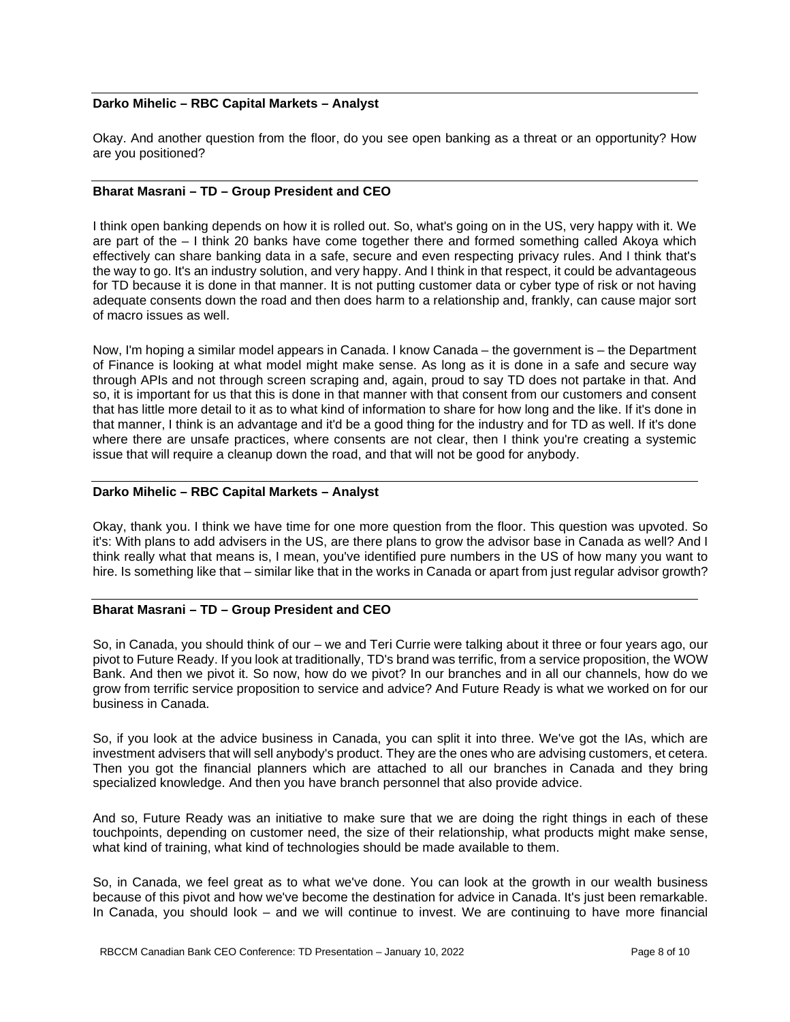# **Darko Mihelic – RBC Capital Markets – Analyst**

Okay. And another question from the floor, do you see open banking as a threat or an opportunity? How are you positioned?

# **Bharat Masrani – TD – Group President and CEO**

I think open banking depends on how it is rolled out. So, what's going on in the US, very happy with it. We are part of the – I think 20 banks have come together there and formed something called Akoya which effectively can share banking data in a safe, secure and even respecting privacy rules. And I think that's the way to go. It's an industry solution, and very happy. And I think in that respect, it could be advantageous for TD because it is done in that manner. It is not putting customer data or cyber type of risk or not having adequate consents down the road and then does harm to a relationship and, frankly, can cause major sort of macro issues as well.

Now, I'm hoping a similar model appears in Canada. I know Canada – the government is – the Department of Finance is looking at what model might make sense. As long as it is done in a safe and secure way through APIs and not through screen scraping and, again, proud to say TD does not partake in that. And so, it is important for us that this is done in that manner with that consent from our customers and consent that has little more detail to it as to what kind of information to share for how long and the like. If it's done in that manner, I think is an advantage and it'd be a good thing for the industry and for TD as well. If it's done where there are unsafe practices, where consents are not clear, then I think you're creating a systemic issue that will require a cleanup down the road, and that will not be good for anybody.

#### **Darko Mihelic – RBC Capital Markets – Analyst**

Okay, thank you. I think we have time for one more question from the floor. This question was upvoted. So it's: With plans to add advisers in the US, are there plans to grow the advisor base in Canada as well? And I think really what that means is, I mean, you've identified pure numbers in the US of how many you want to hire. Is something like that – similar like that in the works in Canada or apart from just regular advisor growth?

# **Bharat Masrani – TD – Group President and CEO**

So, in Canada, you should think of our – we and Teri Currie were talking about it three or four years ago, our pivot to Future Ready. If you look at traditionally, TD's brand was terrific, from a service proposition, the WOW Bank. And then we pivot it. So now, how do we pivot? In our branches and in all our channels, how do we grow from terrific service proposition to service and advice? And Future Ready is what we worked on for our business in Canada.

So, if you look at the advice business in Canada, you can split it into three. We've got the IAs, which are investment advisers that will sell anybody's product. They are the ones who are advising customers, et cetera. Then you got the financial planners which are attached to all our branches in Canada and they bring specialized knowledge. And then you have branch personnel that also provide advice.

And so, Future Ready was an initiative to make sure that we are doing the right things in each of these touchpoints, depending on customer need, the size of their relationship, what products might make sense, what kind of training, what kind of technologies should be made available to them.

So, in Canada, we feel great as to what we've done. You can look at the growth in our wealth business because of this pivot and how we've become the destination for advice in Canada. It's just been remarkable. In Canada, you should look – and we will continue to invest. We are continuing to have more financial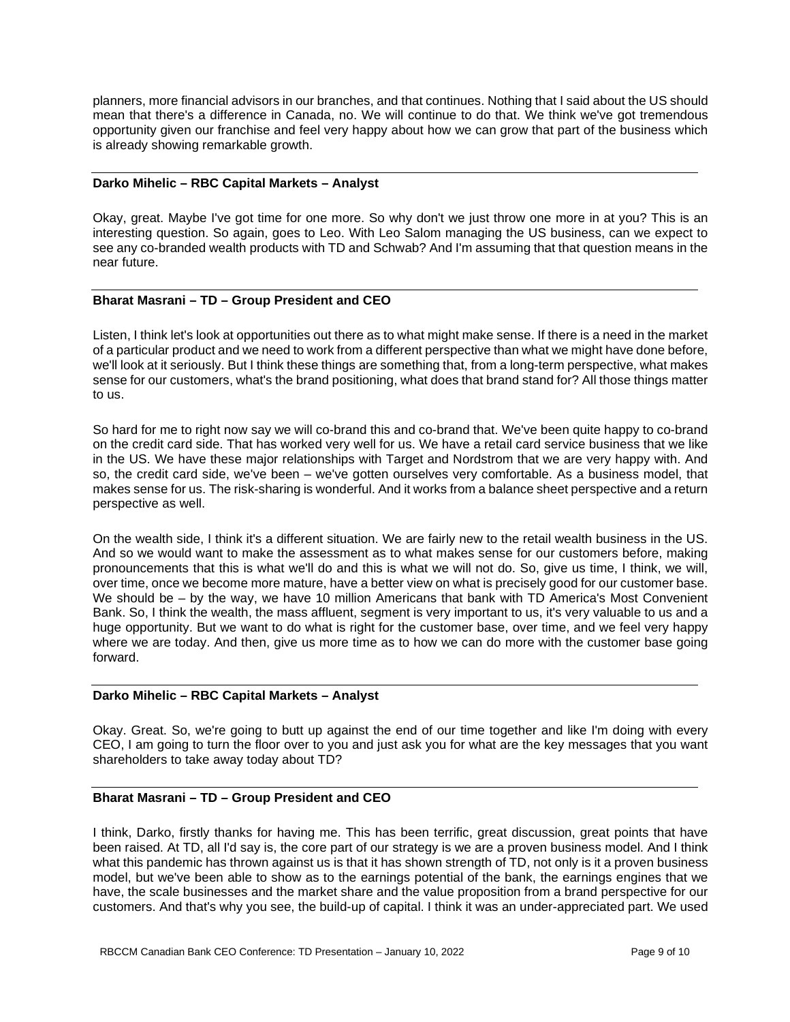planners, more financial advisors in our branches, and that continues. Nothing that I said about the US should mean that there's a difference in Canada, no. We will continue to do that. We think we've got tremendous opportunity given our franchise and feel very happy about how we can grow that part of the business which is already showing remarkable growth.

#### **Darko Mihelic – RBC Capital Markets – Analyst**

Okay, great. Maybe I've got time for one more. So why don't we just throw one more in at you? This is an interesting question. So again, goes to Leo. With Leo Salom managing the US business, can we expect to see any co-branded wealth products with TD and Schwab? And I'm assuming that that question means in the near future.

# **Bharat Masrani – TD – Group President and CEO**

Listen, I think let's look at opportunities out there as to what might make sense. If there is a need in the market of a particular product and we need to work from a different perspective than what we might have done before, we'll look at it seriously. But I think these things are something that, from a long-term perspective, what makes sense for our customers, what's the brand positioning, what does that brand stand for? All those things matter to us.

So hard for me to right now say we will co-brand this and co-brand that. We've been quite happy to co-brand on the credit card side. That has worked very well for us. We have a retail card service business that we like in the US. We have these major relationships with Target and Nordstrom that we are very happy with. And so, the credit card side, we've been – we've gotten ourselves very comfortable. As a business model, that makes sense for us. The risk-sharing is wonderful. And it works from a balance sheet perspective and a return perspective as well.

On the wealth side, I think it's a different situation. We are fairly new to the retail wealth business in the US. And so we would want to make the assessment as to what makes sense for our customers before, making pronouncements that this is what we'll do and this is what we will not do. So, give us time, I think, we will, over time, once we become more mature, have a better view on what is precisely good for our customer base. We should be – by the way, we have 10 million Americans that bank with TD America's Most Convenient Bank. So, I think the wealth, the mass affluent, segment is very important to us, it's very valuable to us and a huge opportunity. But we want to do what is right for the customer base, over time, and we feel very happy where we are today. And then, give us more time as to how we can do more with the customer base going forward.

#### **Darko Mihelic – RBC Capital Markets – Analyst**

Okay. Great. So, we're going to butt up against the end of our time together and like I'm doing with every CEO, I am going to turn the floor over to you and just ask you for what are the key messages that you want shareholders to take away today about TD?

# **Bharat Masrani – TD – Group President and CEO**

I think, Darko, firstly thanks for having me. This has been terrific, great discussion, great points that have been raised. At TD, all I'd say is, the core part of our strategy is we are a proven business model. And I think what this pandemic has thrown against us is that it has shown strength of TD, not only is it a proven business model, but we've been able to show as to the earnings potential of the bank, the earnings engines that we have, the scale businesses and the market share and the value proposition from a brand perspective for our customers. And that's why you see, the build-up of capital. I think it was an under-appreciated part. We used